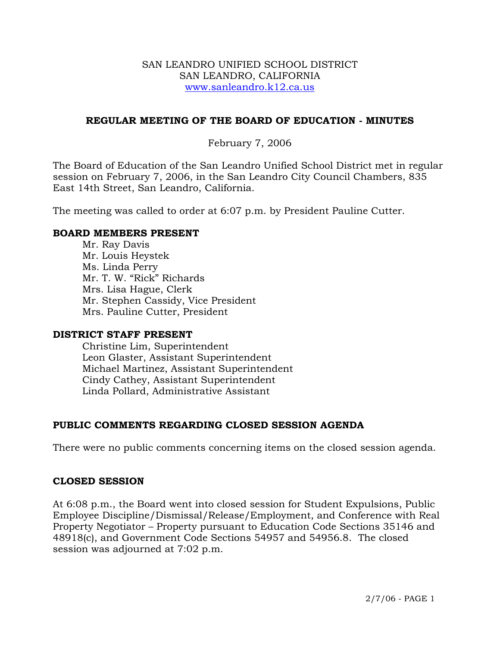#### SAN LEANDRO UNIFIED SCHOOL DISTRICT SAN LEANDRO, CALIFORNIA www.sanleandro.k12.ca.us

# **REGULAR MEETING OF THE BOARD OF EDUCATION - MINUTES**

# February 7, 2006

The Board of Education of the San Leandro Unified School District met in regular session on February 7, 2006, in the San Leandro City Council Chambers, 835 East 14th Street, San Leandro, California.

The meeting was called to order at 6:07 p.m. by President Pauline Cutter.

#### **BOARD MEMBERS PRESENT**

Mr. Ray Davis Mr. Louis Heystek Ms. Linda Perry Mr. T. W. "Rick" Richards Mrs. Lisa Hague, Clerk Mr. Stephen Cassidy, Vice President Mrs. Pauline Cutter, President

#### **DISTRICT STAFF PRESENT**

Christine Lim, Superintendent Leon Glaster, Assistant Superintendent Michael Martinez, Assistant Superintendent Cindy Cathey, Assistant Superintendent Linda Pollard, Administrative Assistant

# **PUBLIC COMMENTS REGARDING CLOSED SESSION AGENDA**

There were no public comments concerning items on the closed session agenda.

#### **CLOSED SESSION**

At 6:08 p.m., the Board went into closed session for Student Expulsions, Public Employee Discipline/Dismissal/Release/Employment, and Conference with Real Property Negotiator – Property pursuant to Education Code Sections 35146 and 48918(c), and Government Code Sections 54957 and 54956.8. The closed session was adjourned at 7:02 p.m.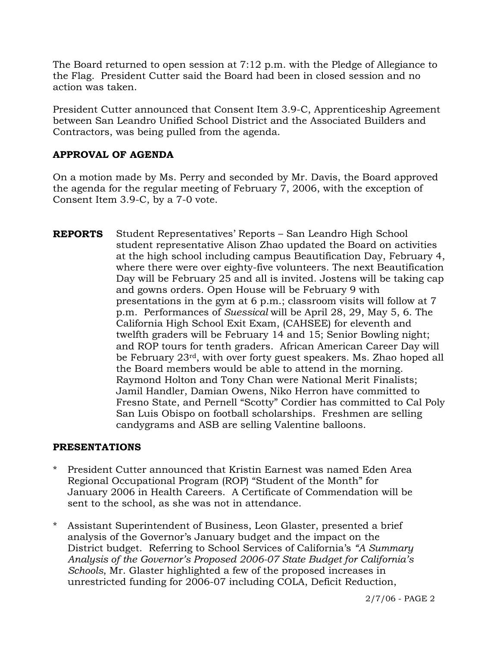The Board returned to open session at 7:12 p.m. with the Pledge of Allegiance to the Flag. President Cutter said the Board had been in closed session and no action was taken.

President Cutter announced that Consent Item 3.9-C, Apprenticeship Agreement between San Leandro Unified School District and the Associated Builders and Contractors, was being pulled from the agenda.

# **APPROVAL OF AGENDA**

On a motion made by Ms. Perry and seconded by Mr. Davis, the Board approved the agenda for the regular meeting of February 7, 2006, with the exception of Consent Item 3.9-C, by a 7-0 vote.

**REPORTS** Student Representatives' Reports – San Leandro High School student representative Alison Zhao updated the Board on activities at the high school including campus Beautification Day, February 4, where there were over eighty-five volunteers. The next Beautification Day will be February 25 and all is invited. Jostens will be taking cap and gowns orders. Open House will be February 9 with presentations in the gym at 6 p.m.; classroom visits will follow at 7 p.m. Performances of *Suessical* will be April 28, 29, May 5, 6. The California High School Exit Exam, (CAHSEE) for eleventh and twelfth graders will be February 14 and 15; Senior Bowling night; and ROP tours for tenth graders. African American Career Day will be February 23rd, with over forty guest speakers. Ms. Zhao hoped all the Board members would be able to attend in the morning. Raymond Holton and Tony Chan were National Merit Finalists; Jamil Handler, Damian Owens, Niko Herron have committed to Fresno State, and Pernell "Scotty" Cordier has committed to Cal Poly San Luis Obispo on football scholarships. Freshmen are selling candygrams and ASB are selling Valentine balloons.

# **PRESENTATIONS**

- \* President Cutter announced that Kristin Earnest was named Eden Area Regional Occupational Program (ROP) "Student of the Month" for January 2006 in Health Careers. A Certificate of Commendation will be sent to the school, as she was not in attendance.
- \* Assistant Superintendent of Business, Leon Glaster, presented a brief analysis of the Governor's January budget and the impact on the District budget. Referring to School Services of California's *"A Summary Analysis of the Governor's Proposed 2006-07 State Budget for California's Schools*, Mr. Glaster highlighted a few of the proposed increases in unrestricted funding for 2006-07 including COLA, Deficit Reduction,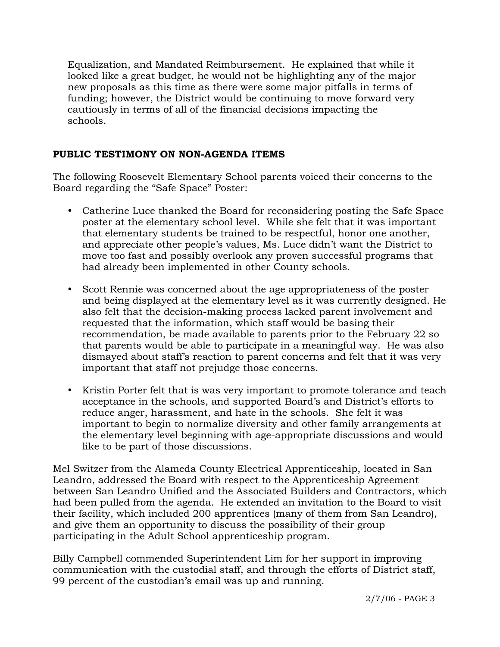Equalization, and Mandated Reimbursement. He explained that while it looked like a great budget, he would not be highlighting any of the major new proposals as this time as there were some major pitfalls in terms of funding; however, the District would be continuing to move forward very cautiously in terms of all of the financial decisions impacting the schools.

# **PUBLIC TESTIMONY ON NON-AGENDA ITEMS**

The following Roosevelt Elementary School parents voiced their concerns to the Board regarding the "Safe Space" Poster:

- Catherine Luce thanked the Board for reconsidering posting the Safe Space poster at the elementary school level. While she felt that it was important that elementary students be trained to be respectful, honor one another, and appreciate other people's values, Ms. Luce didn't want the District to move too fast and possibly overlook any proven successful programs that had already been implemented in other County schools.
- Scott Rennie was concerned about the age appropriateness of the poster and being displayed at the elementary level as it was currently designed. He also felt that the decision-making process lacked parent involvement and requested that the information, which staff would be basing their recommendation, be made available to parents prior to the February 22 so that parents would be able to participate in a meaningful way. He was also dismayed about staff's reaction to parent concerns and felt that it was very important that staff not prejudge those concerns.
- Kristin Porter felt that is was very important to promote tolerance and teach acceptance in the schools, and supported Board's and District's efforts to reduce anger, harassment, and hate in the schools. She felt it was important to begin to normalize diversity and other family arrangements at the elementary level beginning with age-appropriate discussions and would like to be part of those discussions.

Mel Switzer from the Alameda County Electrical Apprenticeship, located in San Leandro, addressed the Board with respect to the Apprenticeship Agreement between San Leandro Unified and the Associated Builders and Contractors, which had been pulled from the agenda. He extended an invitation to the Board to visit their facility, which included 200 apprentices (many of them from San Leandro), and give them an opportunity to discuss the possibility of their group participating in the Adult School apprenticeship program.

Billy Campbell commended Superintendent Lim for her support in improving communication with the custodial staff, and through the efforts of District staff, 99 percent of the custodian's email was up and running.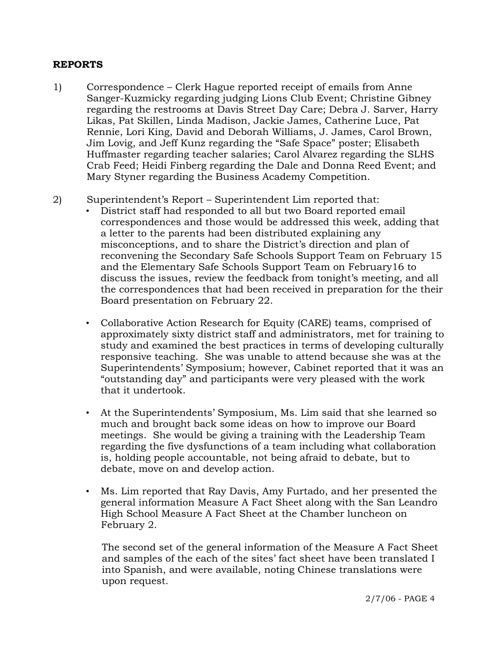# **REPORTS**

- 1) Correspondence Clerk Hague reported receipt of emails from Anne Sanger-Kuzmicky regarding judging Lions Club Event; Christine Gibney regarding the restrooms at Davis Street Day Care; Debra J. Sarver, Harry Likas, Pat Skillen, Linda Madison, Jackie James, Catherine Luce, Pat Rennie, Lori King, David and Deborah Williams, J. James, Carol Brown, Jim Lovig, and Jeff Kunz regarding the "Safe Space" poster; Elisabeth Huffmaster regarding teacher salaries; Carol Alvarez regarding the SLHS Crab Feed; Heidi Finberg regarding the Dale and Donna Reed Event; and Mary Styner regarding the Business Academy Competition.
- 2) Superintendent's Report Superintendent Lim reported that:
	- District staff had responded to all but two Board reported email correspondences and those would be addressed this week, adding that a letter to the parents had been distributed explaining any misconceptions, and to share the District's direction and plan of reconvening the Secondary Safe Schools Support Team on February 15 and the Elementary Safe Schools Support Team on February16 to discuss the issues, review the feedback from tonight's meeting, and all the correspondences that had been received in preparation for the their Board presentation on February 22.
	- Collaborative Action Research for Equity (CARE) teams, comprised of approximately sixty district staff and administrators, met for training to study and examined the best practices in terms of developing culturally responsive teaching. She was unable to attend because she was at the Superintendents' Symposium; however, Cabinet reported that it was an "outstanding day" and participants were very pleased with the work that it undertook.
	- At the Superintendents' Symposium, Ms. Lim said that she learned so much and brought back some ideas on how to improve our Board meetings. She would be giving a training with the Leadership Team regarding the five dysfunctions of a team including what collaboration is, holding people accountable, not being afraid to debate, but to debate, move on and develop action.
	- Ms. Lim reported that Ray Davis, Amy Furtado, and her presented the general information Measure A Fact Sheet along with the San Leandro High School Measure A Fact Sheet at the Chamber luncheon on February 2.

 The second set of the general information of the Measure A Fact Sheet and samples of the each of the sites' fact sheet have been translated I into Spanish, and were available, noting Chinese translations were upon request.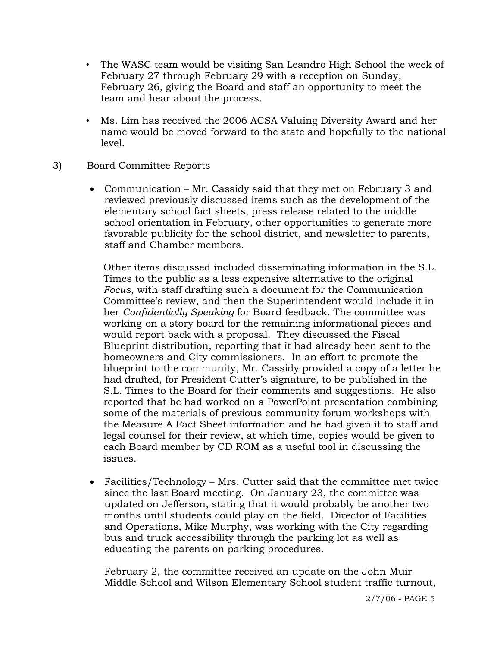- The WASC team would be visiting San Leandro High School the week of February 27 through February 29 with a reception on Sunday, February 26, giving the Board and staff an opportunity to meet the team and hear about the process.
- Ms. Lim has received the 2006 ACSA Valuing Diversity Award and her name would be moved forward to the state and hopefully to the national level.
- 3) Board Committee Reports
	- Communication Mr. Cassidy said that they met on February 3 and reviewed previously discussed items such as the development of the elementary school fact sheets, press release related to the middle school orientation in February, other opportunities to generate more favorable publicity for the school district, and newsletter to parents, staff and Chamber members.

 Other items discussed included disseminating information in the S.L. Times to the public as a less expensive alternative to the original  *Focus*, with staff drafting such a document for the Communication Committee's review, and then the Superintendent would include it in her *Confidentially Speaking* for Board feedback. The committee was working on a story board for the remaining informational pieces and would report back with a proposal. They discussed the Fiscal Blueprint distribution, reporting that it had already been sent to the homeowners and City commissioners. In an effort to promote the blueprint to the community, Mr. Cassidy provided a copy of a letter he had drafted, for President Cutter's signature, to be published in the S.L. Times to the Board for their comments and suggestions. He also reported that he had worked on a PowerPoint presentation combining some of the materials of previous community forum workshops with the Measure A Fact Sheet information and he had given it to staff and legal counsel for their review, at which time, copies would be given to each Board member by CD ROM as a useful tool in discussing the issues.

• Facilities/Technology – Mrs. Cutter said that the committee met twice since the last Board meeting. On January 23, the committee was updated on Jefferson, stating that it would probably be another two months until students could play on the field. Director of Facilities and Operations, Mike Murphy, was working with the City regarding bus and truck accessibility through the parking lot as well as educating the parents on parking procedures.

February 2, the committee received an update on the John Muir Middle School and Wilson Elementary School student traffic turnout,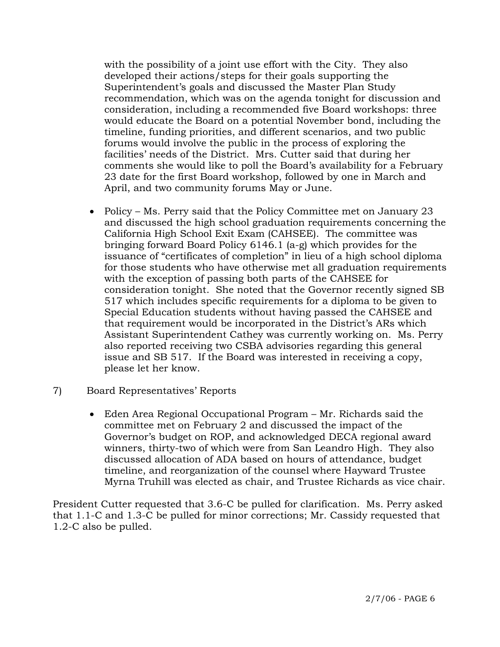with the possibility of a joint use effort with the City. They also developed their actions/steps for their goals supporting the Superintendent's goals and discussed the Master Plan Study recommendation, which was on the agenda tonight for discussion and consideration, including a recommended five Board workshops: three would educate the Board on a potential November bond, including the timeline, funding priorities, and different scenarios, and two public forums would involve the public in the process of exploring the facilities' needs of the District. Mrs. Cutter said that during her comments she would like to poll the Board's availability for a February 23 date for the first Board workshop, followed by one in March and April, and two community forums May or June.

- Policy Ms. Perry said that the Policy Committee met on January 23 and discussed the high school graduation requirements concerning the California High School Exit Exam (CAHSEE). The committee was bringing forward Board Policy 6146.1 (a-g) which provides for the issuance of "certificates of completion" in lieu of a high school diploma for those students who have otherwise met all graduation requirements with the exception of passing both parts of the CAHSEE for consideration tonight. She noted that the Governor recently signed SB 517 which includes specific requirements for a diploma to be given to Special Education students without having passed the CAHSEE and that requirement would be incorporated in the District's ARs which Assistant Superintendent Cathey was currently working on. Ms. Perry also reported receiving two CSBA advisories regarding this general issue and SB 517. If the Board was interested in receiving a copy, please let her know.
- 7) Board Representatives' Reports
	- Eden Area Regional Occupational Program Mr. Richards said the committee met on February 2 and discussed the impact of the Governor's budget on ROP, and acknowledged DECA regional award winners, thirty-two of which were from San Leandro High. They also discussed allocation of ADA based on hours of attendance, budget timeline, and reorganization of the counsel where Hayward Trustee Myrna Truhill was elected as chair, and Trustee Richards as vice chair.

President Cutter requested that 3.6-C be pulled for clarification. Ms. Perry asked that 1.1-C and 1.3-C be pulled for minor corrections; Mr. Cassidy requested that 1.2-C also be pulled.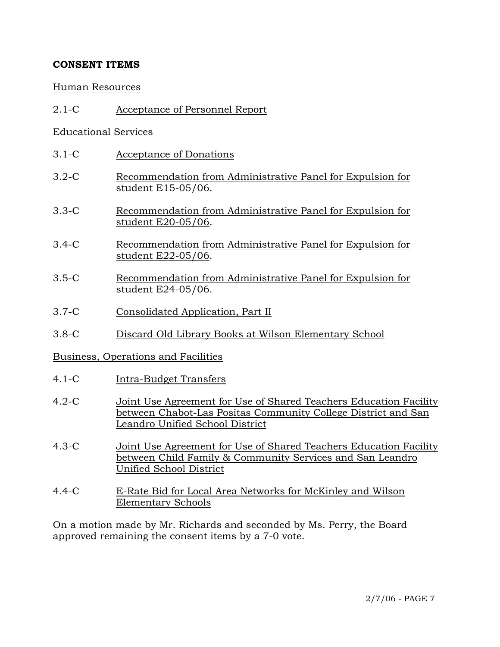# **CONSENT ITEMS**

## Human Resources

2.1-C Acceptance of Personnel Report

# Educational Services

- 3.1-C Acceptance of Donations
- 3.2-C Recommendation from Administrative Panel for Expulsion for student E15-05/06.
- 3.3-C Recommendation from Administrative Panel for Expulsion for student E20-05/06.
- 3.4-C Recommendation from Administrative Panel for Expulsion for student E22-05/06.
- 3.5-C Recommendation from Administrative Panel for Expulsion for student E24-05/06.
- 3.7-C Consolidated Application, Part II
- 3.8-C Discard Old Library Books at Wilson Elementary School

# Business, Operations and Facilities

- 4.1-C Intra-Budget Transfers
- 4.2-C Joint Use Agreement for Use of Shared Teachers Education Facility between Chabot-Las Positas Community College District and San Leandro Unified School District
- 4.3-C Joint Use Agreement for Use of Shared Teachers Education Facility between Child Family & Community Services and San Leandro Unified School District
- 4.4-C E-Rate Bid for Local Area Networks for McKinley and Wilson Elementary Schools

On a motion made by Mr. Richards and seconded by Ms. Perry, the Board approved remaining the consent items by a 7-0 vote.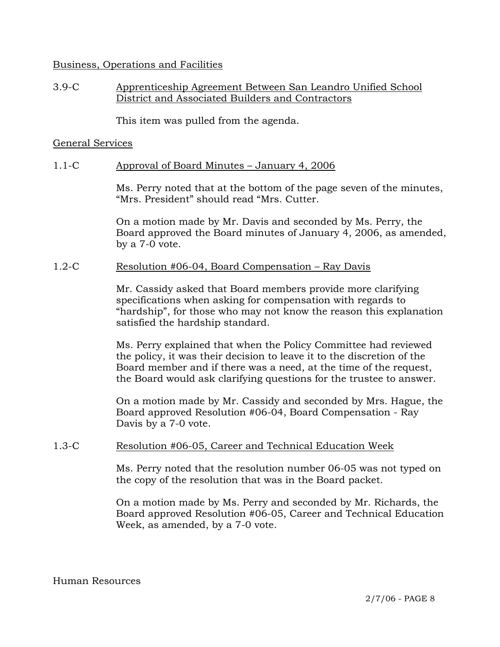#### Business, Operations and Facilities

# 3.9-C Apprenticeship Agreement Between San Leandro Unified School District and Associated Builders and Contractors

This item was pulled from the agenda.

#### General Services

## 1.1-C Approval of Board Minutes – January 4, 2006

Ms. Perry noted that at the bottom of the page seven of the minutes, "Mrs. President" should read "Mrs. Cutter.

On a motion made by Mr. Davis and seconded by Ms. Perry, the Board approved the Board minutes of January 4, 2006, as amended, by a 7-0 vote.

#### 1.2-C Resolution #06-04, Board Compensation – Ray Davis

Mr. Cassidy asked that Board members provide more clarifying specifications when asking for compensation with regards to "hardship", for those who may not know the reason this explanation satisfied the hardship standard.

Ms. Perry explained that when the Policy Committee had reviewed the policy, it was their decision to leave it to the discretion of the Board member and if there was a need, at the time of the request, the Board would ask clarifying questions for the trustee to answer.

On a motion made by Mr. Cassidy and seconded by Mrs. Hague, the Board approved Resolution #06-04, Board Compensation - Ray Davis by a 7-0 vote.

# 1.3-C Resolution #06-05, Career and Technical Education Week

Ms. Perry noted that the resolution number 06-05 was not typed on the copy of the resolution that was in the Board packet.

On a motion made by Ms. Perry and seconded by Mr. Richards, the Board approved Resolution #06-05, Career and Technical Education Week, as amended, by a 7-0 vote.

Human Resources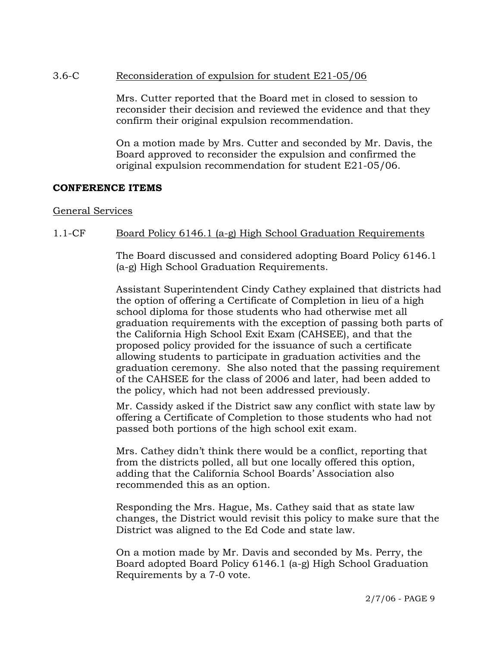# 3.6-C Reconsideration of expulsion for student E21-05/06

Mrs. Cutter reported that the Board met in closed to session to reconsider their decision and reviewed the evidence and that they confirm their original expulsion recommendation.

On a motion made by Mrs. Cutter and seconded by Mr. Davis, the Board approved to reconsider the expulsion and confirmed the original expulsion recommendation for student E21-05/06.

## **CONFERENCE ITEMS**

#### General Services

## 1.1-CF Board Policy 6146.1 (a-g) High School Graduation Requirements

The Board discussed and considered adopting Board Policy 6146.1 (a-g) High School Graduation Requirements.

Assistant Superintendent Cindy Cathey explained that districts had the option of offering a Certificate of Completion in lieu of a high school diploma for those students who had otherwise met all graduation requirements with the exception of passing both parts of the California High School Exit Exam (CAHSEE), and that the proposed policy provided for the issuance of such a certificate allowing students to participate in graduation activities and the graduation ceremony. She also noted that the passing requirement of the CAHSEE for the class of 2006 and later, had been added to the policy, which had not been addressed previously.

Mr. Cassidy asked if the District saw any conflict with state law by offering a Certificate of Completion to those students who had not passed both portions of the high school exit exam.

Mrs. Cathey didn't think there would be a conflict, reporting that from the districts polled, all but one locally offered this option, adding that the California School Boards' Association also recommended this as an option.

Responding the Mrs. Hague, Ms. Cathey said that as state law changes, the District would revisit this policy to make sure that the District was aligned to the Ed Code and state law.

On a motion made by Mr. Davis and seconded by Ms. Perry, the Board adopted Board Policy 6146.1 (a-g) High School Graduation Requirements by a 7-0 vote.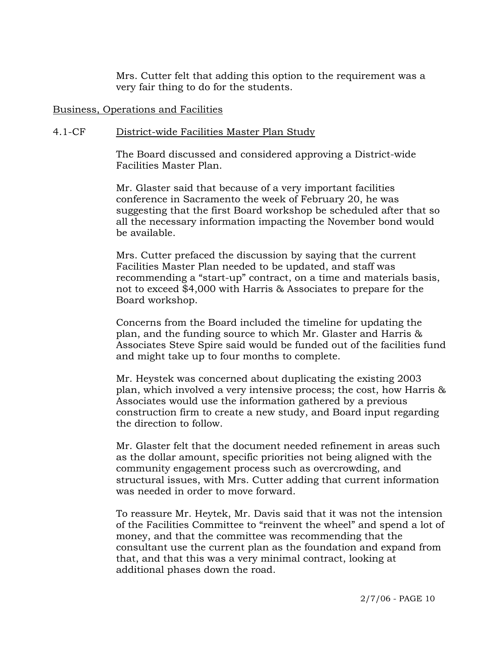Mrs. Cutter felt that adding this option to the requirement was a very fair thing to do for the students.

#### Business, Operations and Facilities

#### 4.1-CF District-wide Facilities Master Plan Study

The Board discussed and considered approving a District-wide Facilities Master Plan.

Mr. Glaster said that because of a very important facilities conference in Sacramento the week of February 20, he was suggesting that the first Board workshop be scheduled after that so all the necessary information impacting the November bond would be available.

Mrs. Cutter prefaced the discussion by saying that the current Facilities Master Plan needed to be updated, and staff was recommending a "start-up" contract, on a time and materials basis, not to exceed \$4,000 with Harris & Associates to prepare for the Board workshop.

Concerns from the Board included the timeline for updating the plan, and the funding source to which Mr. Glaster and Harris & Associates Steve Spire said would be funded out of the facilities fund and might take up to four months to complete.

Mr. Heystek was concerned about duplicating the existing 2003 plan, which involved a very intensive process; the cost, how Harris & Associates would use the information gathered by a previous construction firm to create a new study, and Board input regarding the direction to follow.

Mr. Glaster felt that the document needed refinement in areas such as the dollar amount, specific priorities not being aligned with the community engagement process such as overcrowding, and structural issues, with Mrs. Cutter adding that current information was needed in order to move forward.

To reassure Mr. Heytek, Mr. Davis said that it was not the intension of the Facilities Committee to "reinvent the wheel" and spend a lot of money, and that the committee was recommending that the consultant use the current plan as the foundation and expand from that, and that this was a very minimal contract, looking at additional phases down the road.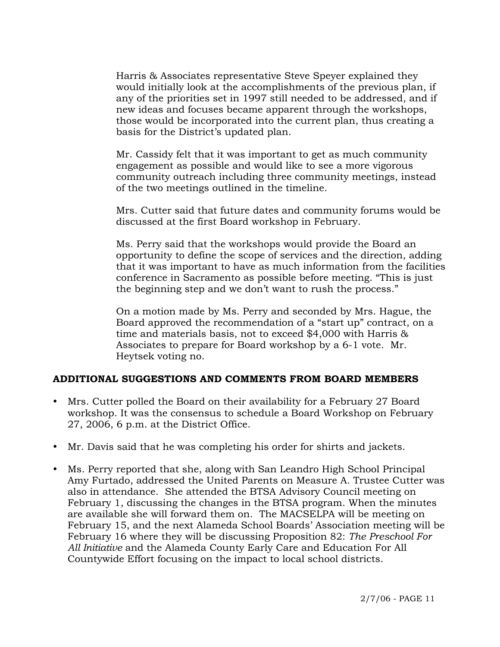Harris & Associates representative Steve Speyer explained they would initially look at the accomplishments of the previous plan, if any of the priorities set in 1997 still needed to be addressed, and if new ideas and focuses became apparent through the workshops, those would be incorporated into the current plan, thus creating a basis for the District's updated plan.

Mr. Cassidy felt that it was important to get as much community engagement as possible and would like to see a more vigorous community outreach including three community meetings, instead of the two meetings outlined in the timeline.

Mrs. Cutter said that future dates and community forums would be discussed at the first Board workshop in February.

Ms. Perry said that the workshops would provide the Board an opportunity to define the scope of services and the direction, adding that it was important to have as much information from the facilities conference in Sacramento as possible before meeting. "This is just the beginning step and we don't want to rush the process."

On a motion made by Ms. Perry and seconded by Mrs. Hague, the Board approved the recommendation of a "start up" contract, on a time and materials basis, not to exceed \$4,000 with Harris & Associates to prepare for Board workshop by a 6-1 vote. Mr. Heytsek voting no.

# **ADDITIONAL SUGGESTIONS AND COMMENTS FROM BOARD MEMBERS**

- Mrs. Cutter polled the Board on their availability for a February 27 Board workshop. It was the consensus to schedule a Board Workshop on February 27, 2006, 6 p.m. at the District Office.
- Mr. Davis said that he was completing his order for shirts and jackets.
- Ms. Perry reported that she, along with San Leandro High School Principal Amy Furtado, addressed the United Parents on Measure A. Trustee Cutter was also in attendance. She attended the BTSA Advisory Council meeting on February 1, discussing the changes in the BTSA program. When the minutes are available she will forward them on. The MACSELPA will be meeting on February 15, and the next Alameda School Boards' Association meeting will be February 16 where they will be discussing Proposition 82: *The Preschool For All Initiative* and the Alameda County Early Care and Education For All Countywide Effort focusing on the impact to local school districts.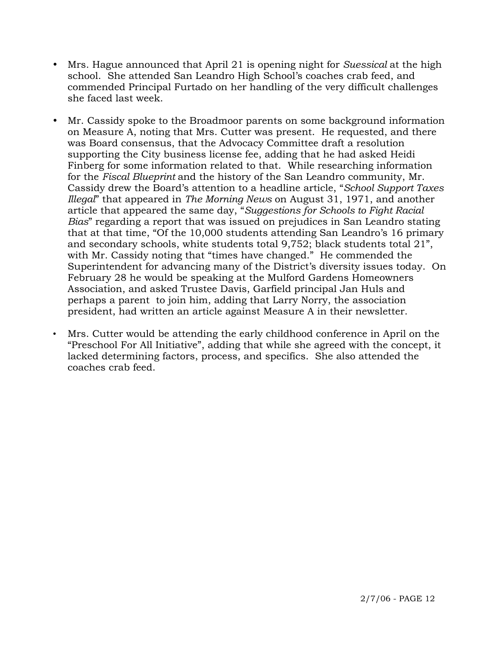- y Mrs. Hague announced that April 21 is opening night for *Suessical* at the high school. She attended San Leandro High School's coaches crab feed, and commended Principal Furtado on her handling of the very difficult challenges she faced last week.
- Mr. Cassidy spoke to the Broadmoor parents on some background information on Measure A, noting that Mrs. Cutter was present. He requested, and there was Board consensus, that the Advocacy Committee draft a resolution supporting the City business license fee, adding that he had asked Heidi Finberg for some information related to that. While researching information for the *Fiscal Blueprint* and the history of the San Leandro community, Mr. Cassidy drew the Board's attention to a headline article, "*School Support Taxes Illegal*" that appeared in *The Morning News* on August 31, 1971, and another article that appeared the same day, "*Suggestions for Schools to Fight Racial Bias*" regarding a report that was issued on prejudices in San Leandro stating that at that time, "Of the 10,000 students attending San Leandro's 16 primary and secondary schools, white students total 9,752; black students total 21", with Mr. Cassidy noting that "times have changed." He commended the Superintendent for advancing many of the District's diversity issues today. On February 28 he would be speaking at the Mulford Gardens Homeowners Association, and asked Trustee Davis, Garfield principal Jan Huls and perhaps a parent to join him, adding that Larry Norry, the association president, had written an article against Measure A in their newsletter.
- Mrs. Cutter would be attending the early childhood conference in April on the "Preschool For All Initiative", adding that while she agreed with the concept, it lacked determining factors, process, and specifics. She also attended the coaches crab feed.